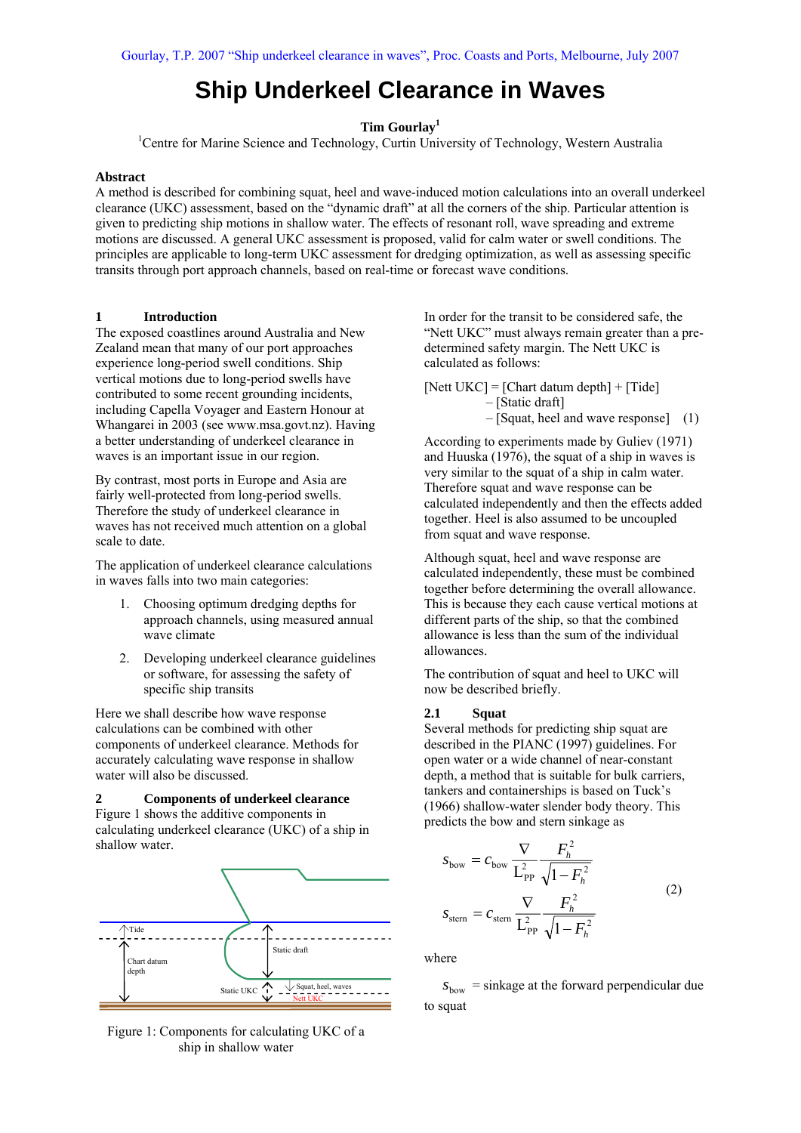# **Ship Underkeel Clearance in Waves**

**Tim Gourlay<sup>1</sup>**

<sup>1</sup>Centre for Marine Science and Technology, Curtin University of Technology, Western Australia

#### **Abstract**

A method is described for combining squat, heel and wave-induced motion calculations into an overall underkeel clearance (UKC) assessment, based on the "dynamic draft" at all the corners of the ship. Particular attention is given to predicting ship motions in shallow water. The effects of resonant roll, wave spreading and extreme motions are discussed. A general UKC assessment is proposed, valid for calm water or swell conditions. The principles are applicable to long-term UKC assessment for dredging optimization, as well as assessing specific transits through port approach channels, based on real-time or forecast wave conditions.

## **1 Introduction**

The exposed coastlines around Australia and New Zealand mean that many of our port approaches experience long-period swell conditions. Ship vertical motions due to long-period swells have contributed to some recent grounding incidents, including Capella Voyager and Eastern Honour at Whangarei in 2003 (see www.msa.govt.nz). Having a better understanding of underkeel clearance in waves is an important issue in our region.

By contrast, most ports in Europe and Asia are fairly well-protected from long-period swells. Therefore the study of underkeel clearance in waves has not received much attention on a global scale to date.

The application of underkeel clearance calculations in waves falls into two main categories:

- 1. Choosing optimum dredging depths for approach channels, using measured annual wave climate
- 2. Developing underkeel clearance guidelines or software, for assessing the safety of specific ship transits

Here we shall describe how wave response calculations can be combined with other components of underkeel clearance. Methods for accurately calculating wave response in shallow water will also be discussed.

**2 Components of underkeel clearance**  Figure 1 shows the additive components in calculating underkeel clearance (UKC) of a ship in shallow water.



Figure 1: Components for calculating UKC of a ship in shallow water

In order for the transit to be considered safe, the "Nett UKC" must always remain greater than a predetermined safety margin. The Nett UKC is calculated as follows:

[Nett UKC] = [Chart datum depth] + [Tide] – [Static draft] – [Squat, heel and wave response] (1)

According to experiments made by Guliev (1971) and Huuska (1976), the squat of a ship in waves is very similar to the squat of a ship in calm water. Therefore squat and wave response can be calculated independently and then the effects added together. Heel is also assumed to be uncoupled from squat and wave response.

Although squat, heel and wave response are calculated independently, these must be combined together before determining the overall allowance. This is because they each cause vertical motions at different parts of the ship, so that the combined allowance is less than the sum of the individual allowances.

The contribution of squat and heel to UKC will now be described briefly.

## **2.1 Squat**

Several methods for predicting ship squat are described in the PIANC (1997) guidelines. For open water or a wide channel of near-constant depth, a method that is suitable for bulk carriers, tankers and containerships is based on Tuck's (1966) shallow-water slender body theory. This predicts the bow and stern sinkage as

$$
s_{\text{bow}} = c_{\text{bow}} \frac{\nabla}{L_{\text{PP}}^2} \frac{F_h^2}{\sqrt{1 - F_h^2}}
$$
  

$$
s_{\text{stem}} = c_{\text{stem}} \frac{\nabla}{L_{\text{PP}}^2} \frac{F_h^2}{\sqrt{1 - F_h^2}}
$$
 (2)

where

 $s_{\text{bow}}$  = sinkage at the forward perpendicular due to squat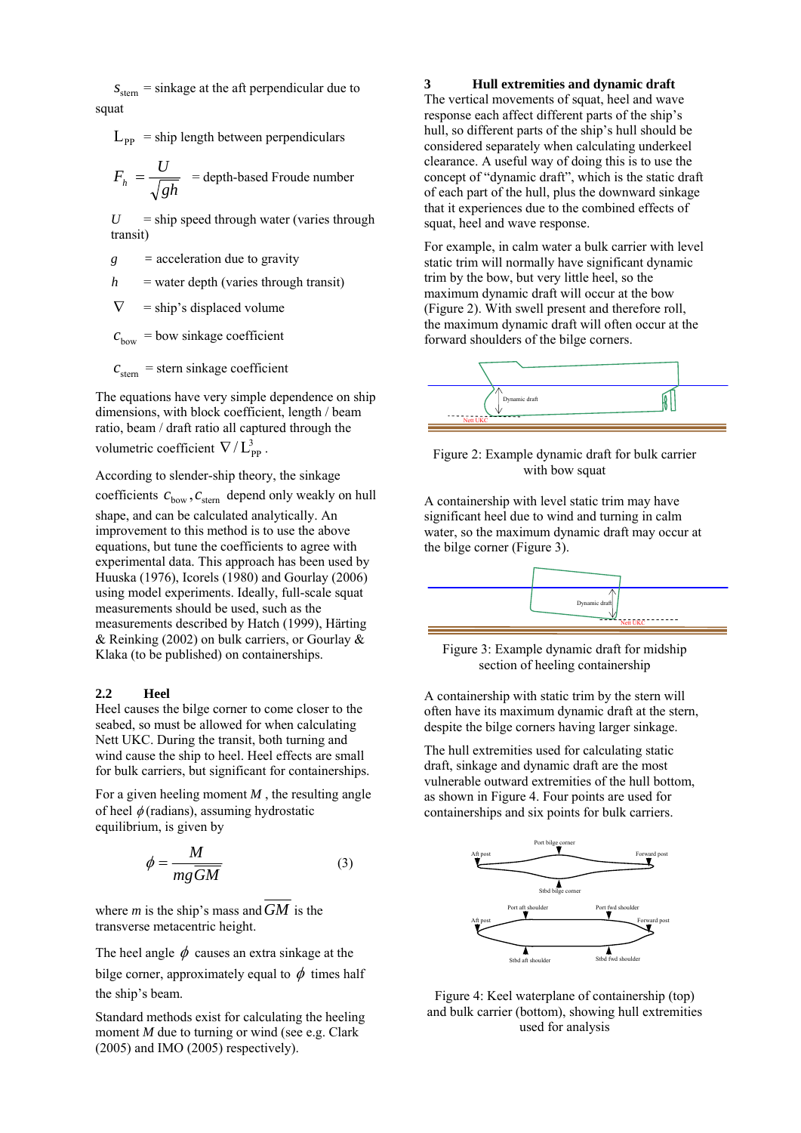$s<sub>stem</sub>$  = sinkage at the aft perpendicular due to squat

 $L_{\text{pp}}$  = ship length between perpendiculars

$$
F_h = \frac{U}{\sqrt{gh}}
$$
 = depth-based Froude number

 $U =$ ship speed through water (varies through transit)

- *g =* acceleration due to gravity
- $h$  = water depth (varies through transit)

 $\nabla$  = ship's displaced volume

 $c<sub>bow</sub> =$  bow sinkage coefficient

 $c<sub>stem</sub>$  = stern sinkage coefficient

The equations have very simple dependence on ship dimensions, with block coefficient, length / beam ratio, beam / draft ratio all captured through the volumetric coefficient  $\nabla / L_{\text{pp}}^3$ .

According to slender-ship theory, the sinkage coefficients  $c_{\text{bow}}$ ,  $c_{\text{stem}}$  depend only weakly on hull shape, and can be calculated analytically. An improvement to this method is to use the above equations, but tune the coefficients to agree with experimental data. This approach has been used by Huuska (1976), Icorels (1980) and Gourlay (2006) using model experiments. Ideally, full-scale squat measurements should be used, such as the measurements described by Hatch (1999), Härting & Reinking (2002) on bulk carriers, or Gourlay & Klaka (to be published) on containerships.

## **2.2 Heel**

Heel causes the bilge corner to come closer to the seabed, so must be allowed for when calculating Nett UKC. During the transit, both turning and wind cause the ship to heel. Heel effects are small for bulk carriers, but significant for containerships.

For a given heeling moment *M* , the resulting angle of heel  $\phi$  (radians), assuming hydrostatic equilibrium, is given by

$$
\phi = \frac{M}{mg\overline{GM}}\tag{3}
$$

where *m* is the ship's mass and*GM* is the transverse metacentric height.

The heel angle  $\phi$  causes an extra sinkage at the

bilge corner, approximately equal to  $\phi$  times half the ship's beam.

Standard methods exist for calculating the heeling moment *M* due to turning or wind (see e.g. Clark (2005) and IMO (2005) respectively).

## **3 Hull extremities and dynamic draft**

The vertical movements of squat, heel and wave response each affect different parts of the ship's hull, so different parts of the ship's hull should be considered separately when calculating underkeel clearance. A useful way of doing this is to use the concept of "dynamic draft", which is the static draft of each part of the hull, plus the downward sinkage that it experiences due to the combined effects of squat, heel and wave response.

For example, in calm water a bulk carrier with level static trim will normally have significant dynamic trim by the bow, but very little heel, so the maximum dynamic draft will occur at the bow (Figure 2). With swell present and therefore roll, the maximum dynamic draft will often occur at the forward shoulders of the bilge corners.



Figure 2: Example dynamic draft for bulk carrier with bow squat

A containership with level static trim may have significant heel due to wind and turning in calm water, so the maximum dynamic draft may occur at the bilge corner (Figure 3).



Figure 3: Example dynamic draft for midship section of heeling containership

A containership with static trim by the stern will often have its maximum dynamic draft at the stern, despite the bilge corners having larger sinkage.

The hull extremities used for calculating static draft, sinkage and dynamic draft are the most vulnerable outward extremities of the hull bottom, as shown in Figure 4. Four points are used for containerships and six points for bulk carriers.



Figure 4: Keel waterplane of containership (top) and bulk carrier (bottom), showing hull extremities used for analysis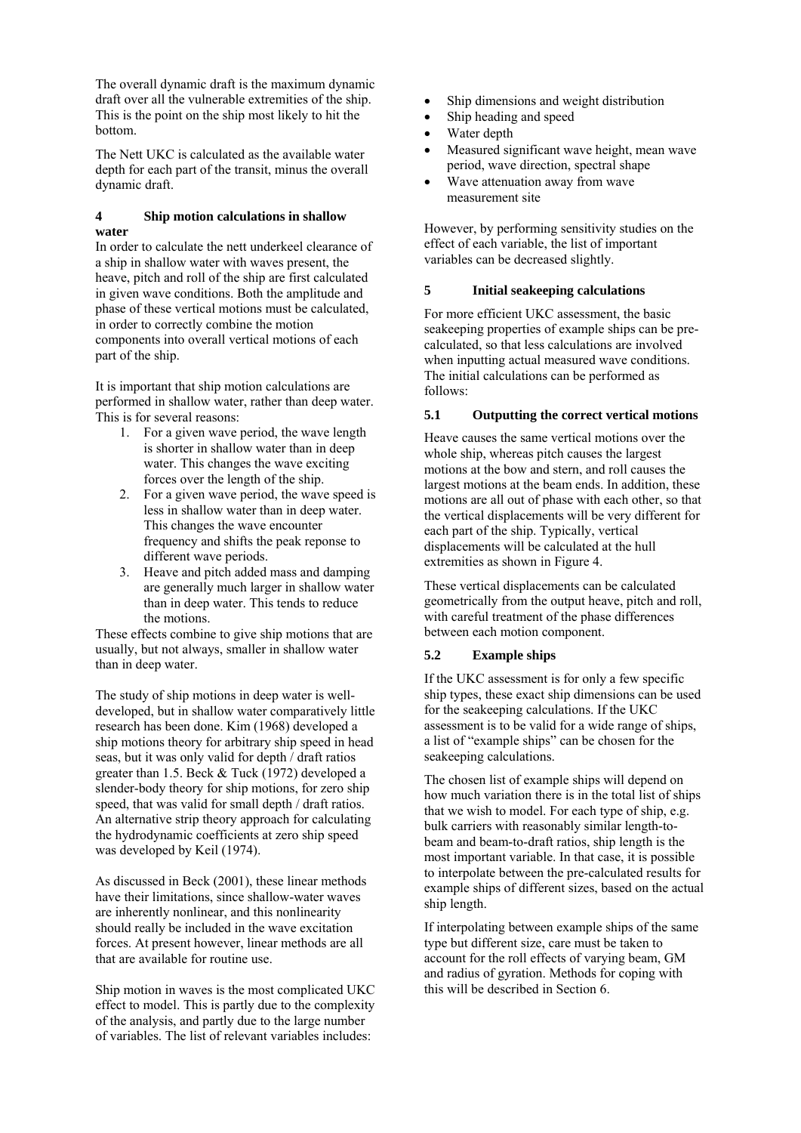The overall dynamic draft is the maximum dynamic draft over all the vulnerable extremities of the ship. This is the point on the ship most likely to hit the bottom.

The Nett UKC is calculated as the available water depth for each part of the transit, minus the overall dynamic draft.

# **4 Ship motion calculations in shallow water**

In order to calculate the nett underkeel clearance of a ship in shallow water with waves present, the heave, pitch and roll of the ship are first calculated in given wave conditions. Both the amplitude and phase of these vertical motions must be calculated, in order to correctly combine the motion components into overall vertical motions of each part of the ship.

It is important that ship motion calculations are performed in shallow water, rather than deep water. This is for several reasons:

- 1. For a given wave period, the wave length is shorter in shallow water than in deep water. This changes the wave exciting forces over the length of the ship.
- 2. For a given wave period, the wave speed is less in shallow water than in deep water. This changes the wave encounter frequency and shifts the peak reponse to different wave periods.
- 3. Heave and pitch added mass and damping are generally much larger in shallow water than in deep water. This tends to reduce the motions.

These effects combine to give ship motions that are usually, but not always, smaller in shallow water than in deep water.

The study of ship motions in deep water is welldeveloped, but in shallow water comparatively little research has been done. Kim (1968) developed a ship motions theory for arbitrary ship speed in head seas, but it was only valid for depth / draft ratios greater than 1.5. Beck & Tuck (1972) developed a slender-body theory for ship motions, for zero ship speed, that was valid for small depth / draft ratios. An alternative strip theory approach for calculating the hydrodynamic coefficients at zero ship speed was developed by Keil (1974).

As discussed in Beck (2001), these linear methods have their limitations, since shallow-water waves are inherently nonlinear, and this nonlinearity should really be included in the wave excitation forces. At present however, linear methods are all that are available for routine use.

Ship motion in waves is the most complicated UKC effect to model. This is partly due to the complexity of the analysis, and partly due to the large number of variables. The list of relevant variables includes:

- Ship dimensions and weight distribution
- Ship heading and speed
- Water depth
- Measured significant wave height, mean wave period, wave direction, spectral shape
- Wave attenuation away from wave measurement site

However, by performing sensitivity studies on the effect of each variable, the list of important variables can be decreased slightly.

# **5 Initial seakeeping calculations**

For more efficient UKC assessment, the basic seakeeping properties of example ships can be precalculated, so that less calculations are involved when inputting actual measured wave conditions. The initial calculations can be performed as follows:

# **5.1 Outputting the correct vertical motions**

Heave causes the same vertical motions over the whole ship, whereas pitch causes the largest motions at the bow and stern, and roll causes the largest motions at the beam ends. In addition, these motions are all out of phase with each other, so that the vertical displacements will be very different for each part of the ship. Typically, vertical displacements will be calculated at the hull extremities as shown in Figure 4.

These vertical displacements can be calculated geometrically from the output heave, pitch and roll, with careful treatment of the phase differences between each motion component.

# **5.2 Example ships**

If the UKC assessment is for only a few specific ship types, these exact ship dimensions can be used for the seakeeping calculations. If the UKC assessment is to be valid for a wide range of ships, a list of "example ships" can be chosen for the seakeeping calculations.

The chosen list of example ships will depend on how much variation there is in the total list of ships that we wish to model. For each type of ship, e.g. bulk carriers with reasonably similar length-tobeam and beam-to-draft ratios, ship length is the most important variable. In that case, it is possible to interpolate between the pre-calculated results for example ships of different sizes, based on the actual ship length.

If interpolating between example ships of the same type but different size, care must be taken to account for the roll effects of varying beam, GM and radius of gyration. Methods for coping with this will be described in Section 6.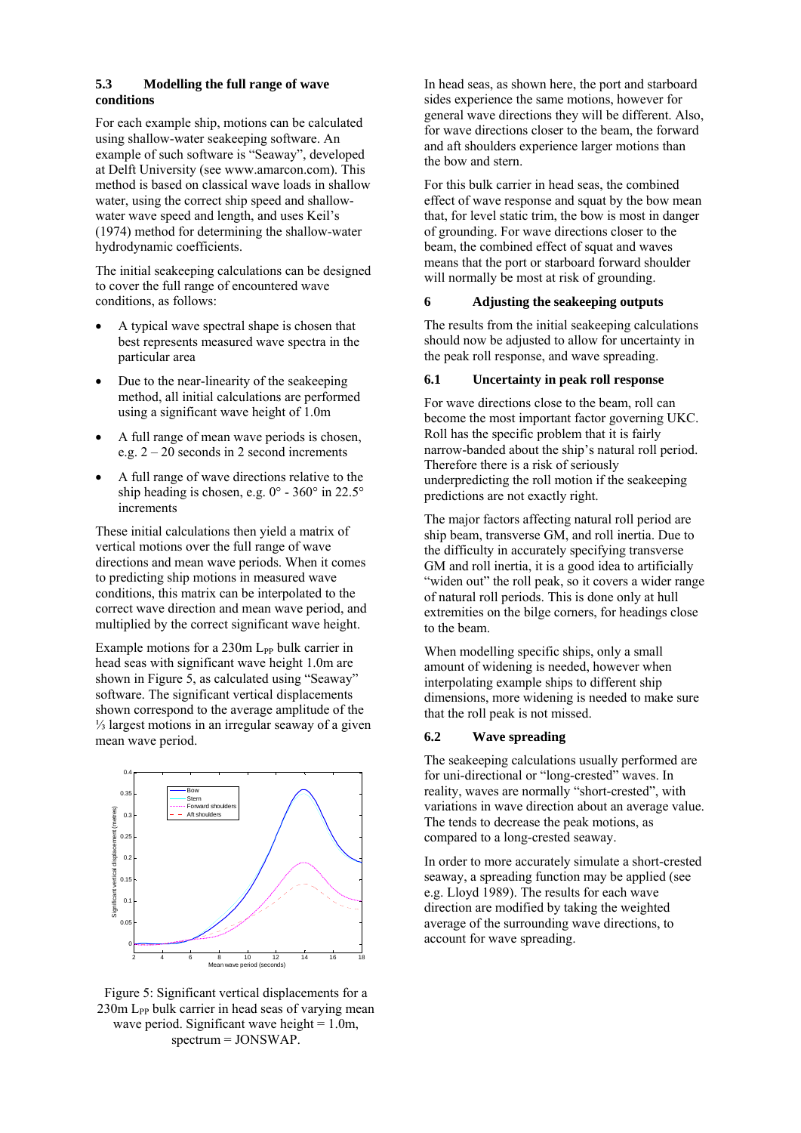## **5.3 Modelling the full range of wave conditions**

For each example ship, motions can be calculated using shallow-water seakeeping software. An example of such software is "Seaway", developed at Delft University (see www.amarcon.com). This method is based on classical wave loads in shallow water, using the correct ship speed and shallowwater wave speed and length, and uses Keil's (1974) method for determining the shallow-water hydrodynamic coefficients.

The initial seakeeping calculations can be designed to cover the full range of encountered wave conditions, as follows:

- A typical wave spectral shape is chosen that best represents measured wave spectra in the particular area
- Due to the near-linearity of the seakeeping method, all initial calculations are performed using a significant wave height of 1.0m
- A full range of mean wave periods is chosen, e.g.  $2 - 20$  seconds in 2 second increments
- A full range of wave directions relative to the ship heading is chosen, e.g. 0° - 360° in 22.5° increments

These initial calculations then yield a matrix of vertical motions over the full range of wave directions and mean wave periods. When it comes to predicting ship motions in measured wave conditions, this matrix can be interpolated to the correct wave direction and mean wave period, and multiplied by the correct significant wave height.

Example motions for a 230m L<sub>PP</sub> bulk carrier in head seas with significant wave height 1.0m are shown in Figure 5, as calculated using "Seaway" software. The significant vertical displacements shown correspond to the average amplitude of the ⅓ largest motions in an irregular seaway of a given mean wave period.



Figure 5: Significant vertical displacements for a  $230m$  L<sub>PP</sub> bulk carrier in head seas of varying mean wave period. Significant wave height  $= 1.0$ m, spectrum = JONSWAP.

In head seas, as shown here, the port and starboard sides experience the same motions, however for general wave directions they will be different. Also, for wave directions closer to the beam, the forward and aft shoulders experience larger motions than the bow and stern.

For this bulk carrier in head seas, the combined effect of wave response and squat by the bow mean that, for level static trim, the bow is most in danger of grounding. For wave directions closer to the beam, the combined effect of squat and waves means that the port or starboard forward shoulder will normally be most at risk of grounding.

## **6 Adjusting the seakeeping outputs**

The results from the initial seakeeping calculations should now be adjusted to allow for uncertainty in the peak roll response, and wave spreading.

## **6.1 Uncertainty in peak roll response**

For wave directions close to the beam, roll can become the most important factor governing UKC. Roll has the specific problem that it is fairly narrow-banded about the ship's natural roll period. Therefore there is a risk of seriously underpredicting the roll motion if the seakeeping predictions are not exactly right.

The major factors affecting natural roll period are ship beam, transverse GM, and roll inertia. Due to the difficulty in accurately specifying transverse GM and roll inertia, it is a good idea to artificially "widen out" the roll peak, so it covers a wider range of natural roll periods. This is done only at hull extremities on the bilge corners, for headings close to the beam.

When modelling specific ships, only a small amount of widening is needed, however when interpolating example ships to different ship dimensions, more widening is needed to make sure that the roll peak is not missed.

# **6.2 Wave spreading**

The seakeeping calculations usually performed are for uni-directional or "long-crested" waves. In reality, waves are normally "short-crested", with variations in wave direction about an average value. The tends to decrease the peak motions, as compared to a long-crested seaway.

In order to more accurately simulate a short-crested seaway, a spreading function may be applied (see e.g. Lloyd 1989). The results for each wave direction are modified by taking the weighted average of the surrounding wave directions, to account for wave spreading.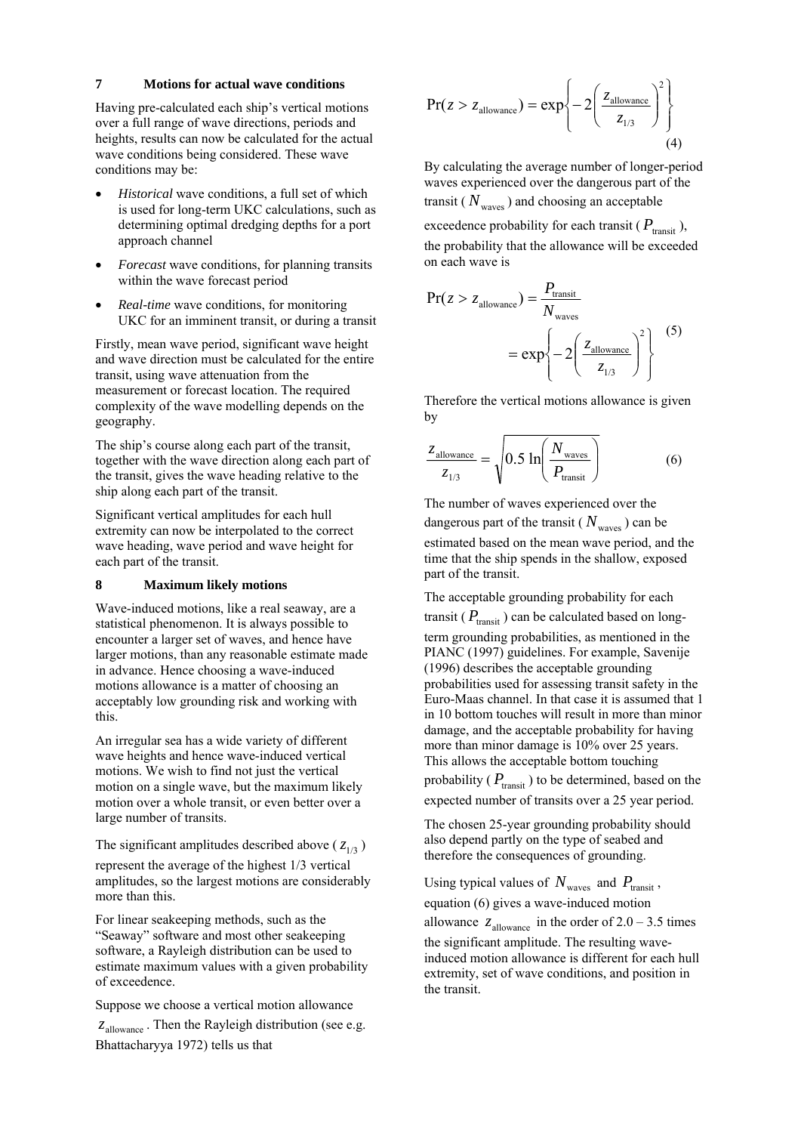#### **7 Motions for actual wave conditions**

Having pre-calculated each ship's vertical motions over a full range of wave directions, periods and heights, results can now be calculated for the actual wave conditions being considered. These wave conditions may be:

- *Historical* wave conditions, a full set of which is used for long-term UKC calculations, such as determining optimal dredging depths for a port approach channel
- *Forecast* wave conditions, for planning transits within the wave forecast period
- *Real-time* wave conditions, for monitoring UKC for an imminent transit, or during a transit

Firstly, mean wave period, significant wave height and wave direction must be calculated for the entire transit, using wave attenuation from the measurement or forecast location. The required complexity of the wave modelling depends on the geography.

The ship's course along each part of the transit, together with the wave direction along each part of the transit, gives the wave heading relative to the ship along each part of the transit.

Significant vertical amplitudes for each hull extremity can now be interpolated to the correct wave heading, wave period and wave height for each part of the transit.

## **8 Maximum likely motions**

Wave-induced motions, like a real seaway, are a statistical phenomenon. It is always possible to encounter a larger set of waves, and hence have larger motions, than any reasonable estimate made in advance. Hence choosing a wave-induced motions allowance is a matter of choosing an acceptably low grounding risk and working with this.

An irregular sea has a wide variety of different wave heights and hence wave-induced vertical motions. We wish to find not just the vertical motion on a single wave, but the maximum likely motion over a whole transit, or even better over a large number of transits.

The significant amplitudes described above ( $z_{1/3}$ )

represent the average of the highest 1/3 vertical amplitudes, so the largest motions are considerably more than this.

For linear seakeeping methods, such as the "Seaway" software and most other seakeeping software, a Rayleigh distribution can be used to estimate maximum values with a given probability of exceedence.

Suppose we choose a vertical motion allowance  $z_{\text{allowance}}$ . Then the Rayleigh distribution (see e.g. Bhattacharyya 1972) tells us that

$$
Pr(z > z_{\text{allowance}}) = exp\left\{-2\left(\frac{z_{\text{allowance}}}{z_{1/3}}\right)^2\right\}
$$
(4)

By calculating the average number of longer-period waves experienced over the dangerous part of the transit ( $N_{\text{waves}}$ ) and choosing an acceptable

exceedence probability for each transit ( $P_{\text{transit}}$ ), the probability that the allowance will be exceeded on each wave is

$$
Pr(z > z_{\text{allowance}}) = \frac{P_{\text{transit}}}{N_{\text{waves}}}
$$

$$
= \exp\left\{-2\left(\frac{z_{\text{allowance}}}{z_{1/3}}\right)^2\right\} \tag{5}
$$

Therefore the vertical motions allowance is given by

$$
\frac{z_{\text{allowance}}}{z_{1/3}} = \sqrt{0.5 \ln \left( \frac{N_{\text{waves}}}{P_{\text{transit}}} \right)}
$$
(6)

The number of waves experienced over the dangerous part of the transit ( $N_{\text{waves}}$ ) can be estimated based on the mean wave period, and the time that the ship spends in the shallow, exposed part of the transit.

The acceptable grounding probability for each transit ( $P_{\text{transit}}$ ) can be calculated based on longterm grounding probabilities, as mentioned in the PIANC (1997) guidelines. For example, Savenije (1996) describes the acceptable grounding probabilities used for assessing transit safety in the Euro-Maas channel. In that case it is assumed that 1 in 10 bottom touches will result in more than minor damage, and the acceptable probability for having more than minor damage is 10% over 25 years. This allows the acceptable bottom touching

probability ( $P_{\text{transit}}$ ) to be determined, based on the expected number of transits over a 25 year period.

The chosen 25-year grounding probability should also depend partly on the type of seabed and therefore the consequences of grounding.

Using typical values of  $N_{\text{waves}}$  and  $P_{\text{transit}}$ , equation (6) gives a wave-induced motion allowance  $z_{\text{allowance}}$  in the order of  $2.0 - 3.5$  times the significant amplitude. The resulting waveinduced motion allowance is different for each hull extremity, set of wave conditions, and position in

the transit.